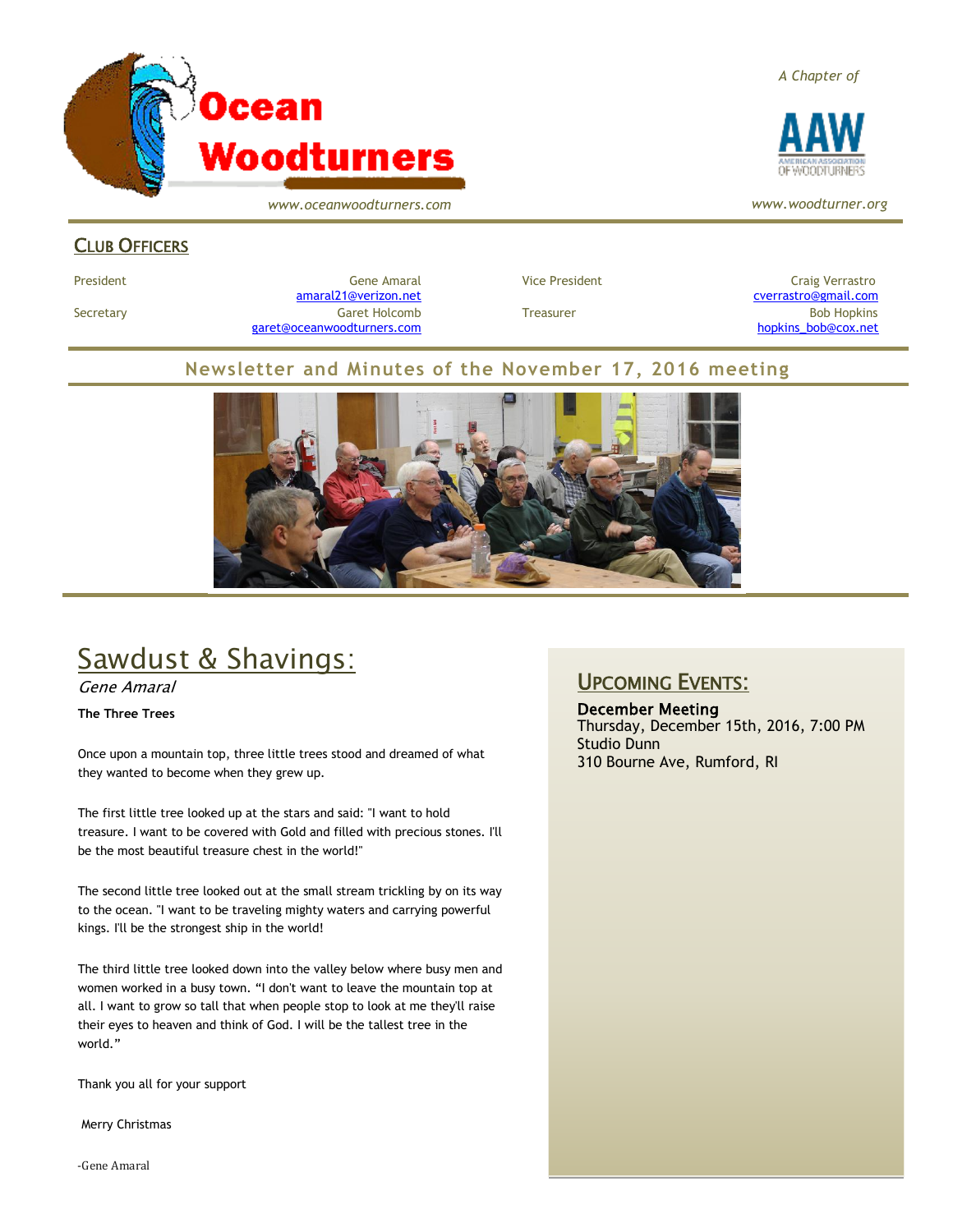

*www.oceanwoodturners.com*

#### CLUB OFFICERS

President Craig Verrastro Cene Amaral Cene Amaral Craig Verrastro Craig Verrastro [amaral21@verizon.net](mailto:amaral21@verizon.net) [cverrastro@gmail.com](mailto:cverrastro@gmail.com) Secretary Garet Holcomb Treasurer Bob Hopkins Bob Hopkins (Bob Hopkins Garet Holcomb [garet@oceanwoodturners.com](mailto:garet@oceanwoodturners.com) [hopkins\\_bob@cox.net](mailto:hopkins_bob@cox.net)

#### **Newsletter and Minutes of the November 17, 2016 meeting**



# Sawdust & Shavings:

Gene Amaral

**The Three Trees**

Once upon a mountain top, three little trees stood and dreamed of what they wanted to become when they grew up.

The first little tree looked up at the stars and said: "I want to hold treasure. I want to be covered with Gold and filled with precious stones. I'll be the most beautiful treasure chest in the world!"

The second little tree looked out at the small stream trickling by on its way to the ocean. "I want to be traveling mighty waters and carrying powerful kings. I'll be the strongest ship in the world!

The third little tree looked down into the valley below where busy men and women worked in a busy town. "I don't want to leave the mountain top at all. I want to grow so tall that when people stop to look at me they'll raise their eyes to heaven and think of God. I will be the tallest tree in the world."

Thank you all for your support

Merry Christmas

-Gene Amaral

UPCOMING EVENTS:

December Meeting Thursday, December 15th, 2016, 7:00 PM Studio Dunn 310 Bourne Ave, Rumford, RI

*A Chapter of*



*www.woodturner.org*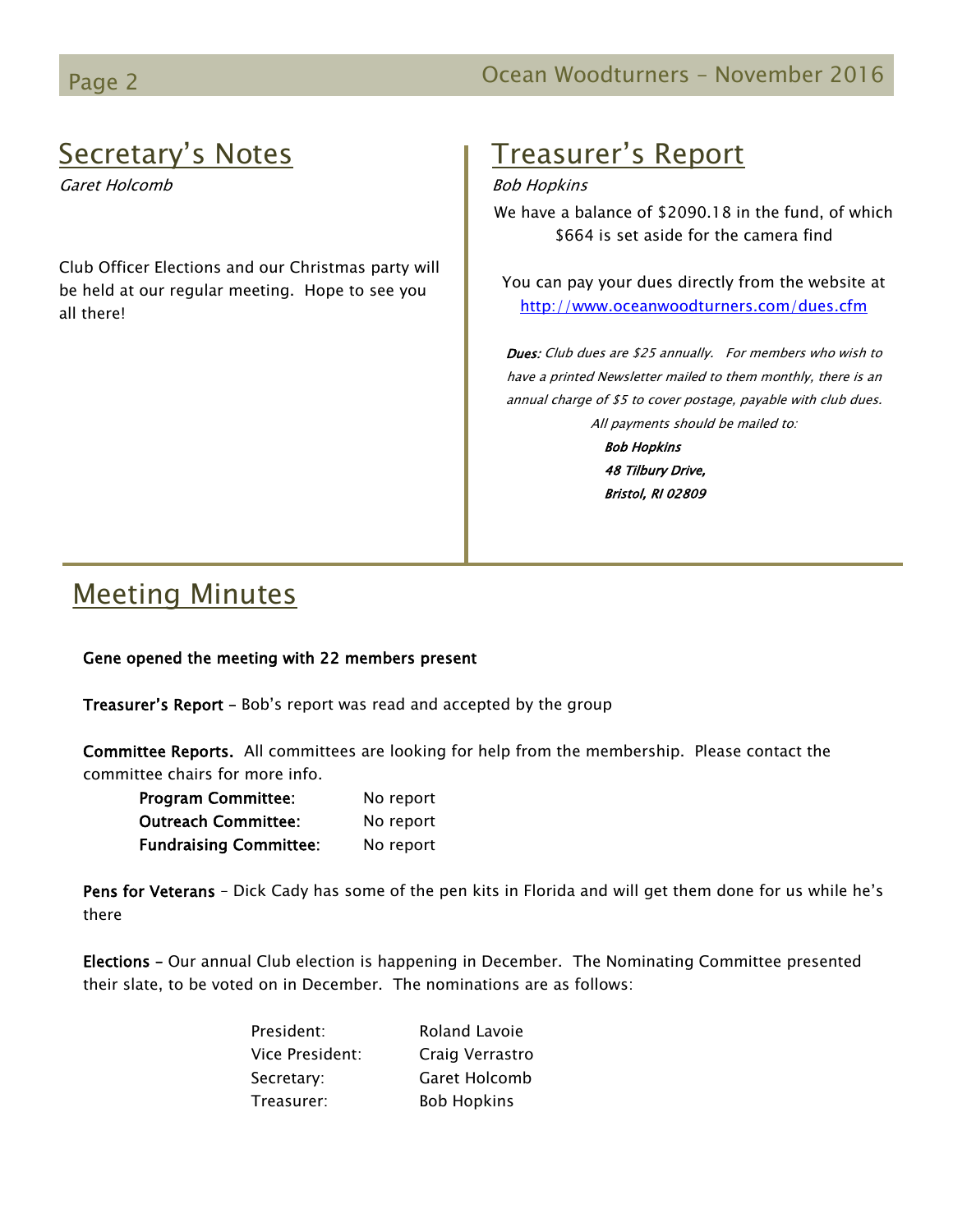## Secretary's Notes

Garet Holcomb

Club Officer Elections and our Christmas party will be held at our regular meeting. Hope to see you all there!

## Treasurer's Report

#### Bob Hopkins

We have a balance of \$2090.18 in the fund, of which \$664 is set aside for the camera find

You can pay your dues directly from the website at <http://www.oceanwoodturners.com/dues.cfm>

Dues: Club dues are \$25 annually. For members who wish to have a printed Newsletter mailed to them monthly, there is an annual charge of \$5 to cover postage, payable with club dues. All payments should be mailed to:

> Bob Hopkins 48 Tilbury Drive, Bristol, RI 02809

### Meeting Minutes

#### Gene opened the meeting with 22 members present

Treasurer's Report - Bob's report was read and accepted by the group

Committee Reports. All committees are looking for help from the membership. Please contact the committee chairs for more info.

| <b>Program Committee:</b>     | No report |
|-------------------------------|-----------|
| <b>Outreach Committee:</b>    | No report |
| <b>Fundraising Committee:</b> | No report |

Pens for Veterans - Dick Cady has some of the pen kits in Florida and will get them done for us while he's there

Elections – Our annual Club election is happening in December. The Nominating Committee presented their slate, to be voted on in December. The nominations are as follows:

| President:      | Roland Lavoie      |
|-----------------|--------------------|
| Vice President: | Craig Verrastro    |
| Secretary:      | Garet Holcomb      |
| Treasurer:      | <b>Bob Hopkins</b> |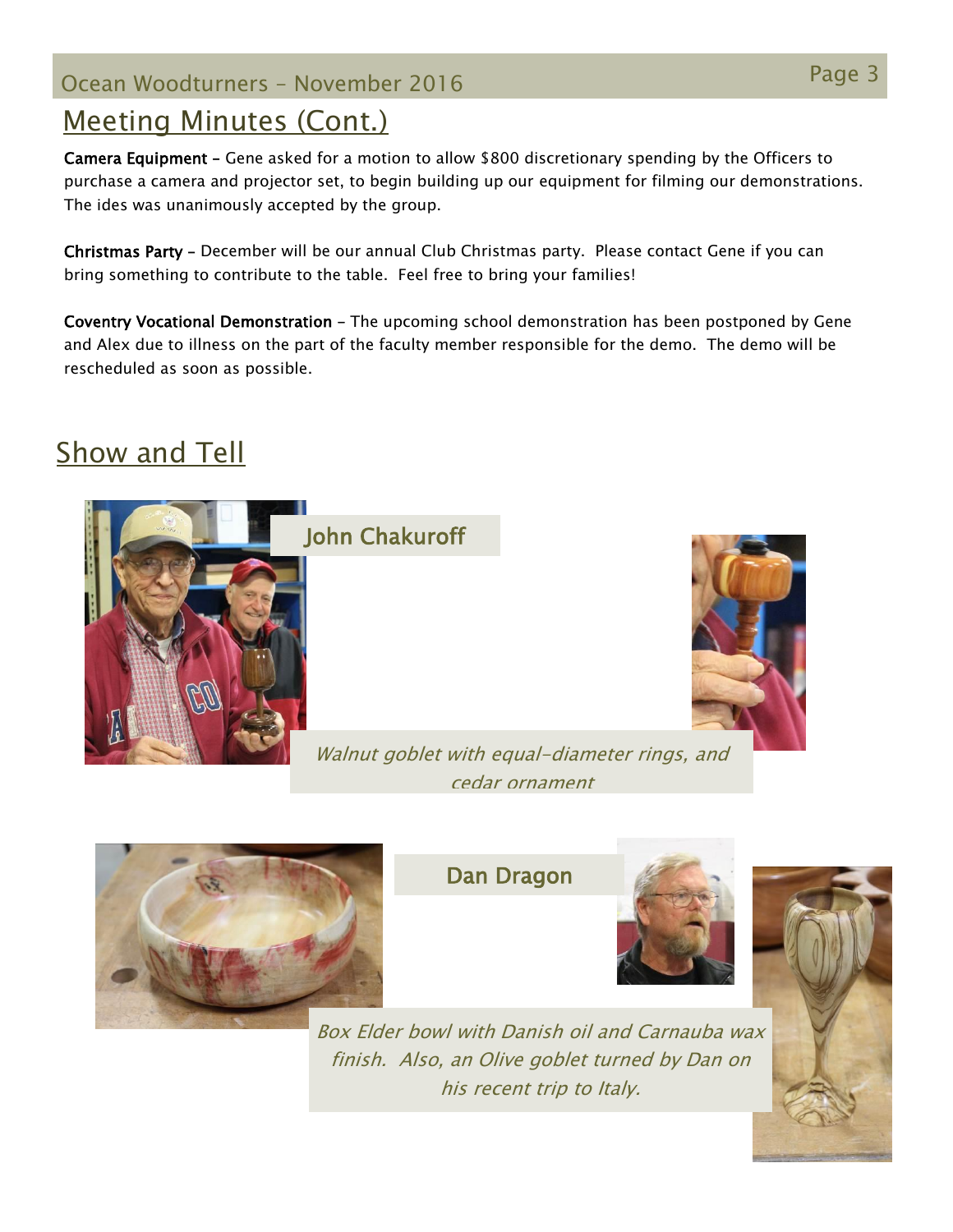# Page 3 Ocean Woodturners – November <sup>2016</sup>

## Meeting Minutes (Cont.)

Camera Equipment – Gene asked for a motion to allow \$800 discretionary spending by the Officers to purchase a camera and projector set, to begin building up our equipment for filming our demonstrations. The ides was unanimously accepted by the group.

Christmas Party – December will be our annual Club Christmas party. Please contact Gene if you can bring something to contribute to the table. Feel free to bring your families!

Coventry Vocational Demonstration – The upcoming school demonstration has been postponed by Gene and Alex due to illness on the part of the faculty member responsible for the demo. The demo will be rescheduled as soon as possible.

## Show and Tell







Dan Dragon



Box Elder bowl with Danish oil and Carnauba wax finish. Also, an Olive goblet turned by Dan on his recent trip to Italy.

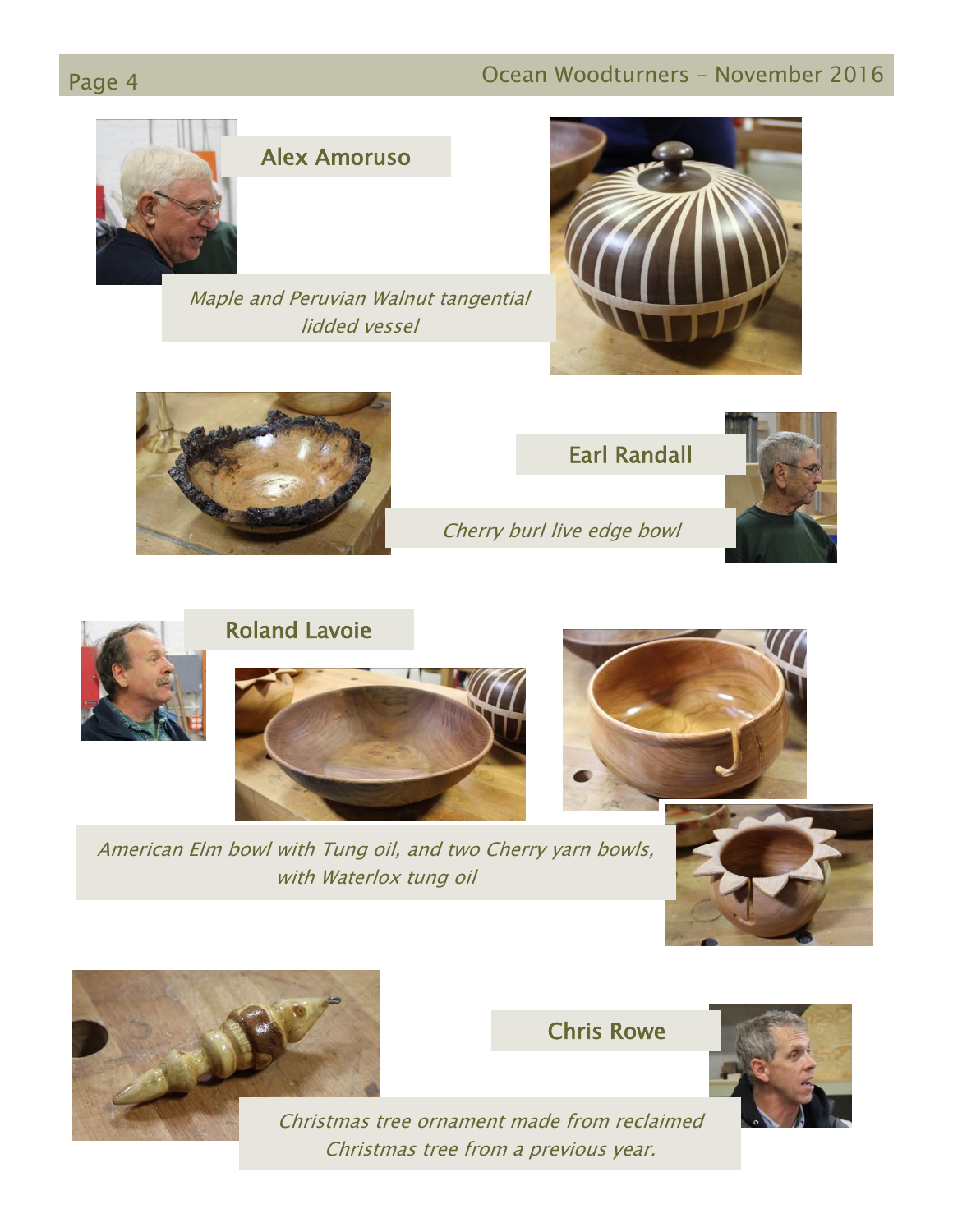## Page 4 **Detail Community Community** Ocean Woodturners – November 2016



#### Alex Amoruso

Maple and Peruvian Walnut tangential lidded vessel







Cherry burl live edge bowl





American Elm bowl with Tung oil, and two Cherry yarn bowls, with Waterlox tung oil





Chris Rowe



Christmas tree ornament made from reclaimed Christmas tree from a previous year.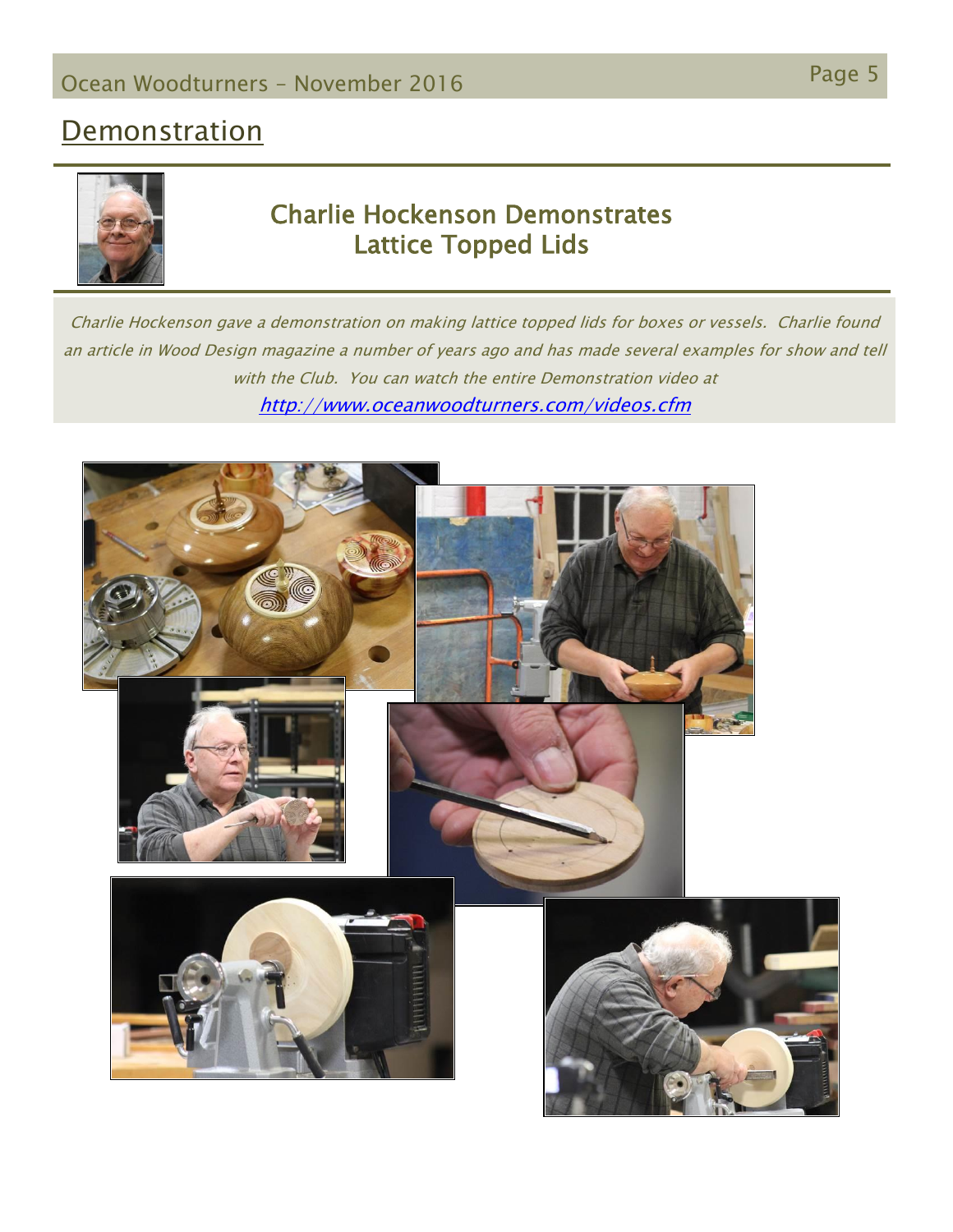### **Demonstration**



#### Charlie Hockenson Demonstrates Lattice Topped Lids

Charlie Hockenson gave a demonstration on making lattice topped lids for boxes or vessels. Charlie found an article in Wood Design magazine a number of years ago and has made several examples for show and tell with the Club. You can watch the entire Demonstration video at <http://www.oceanwoodturners.com/videos.cfm>